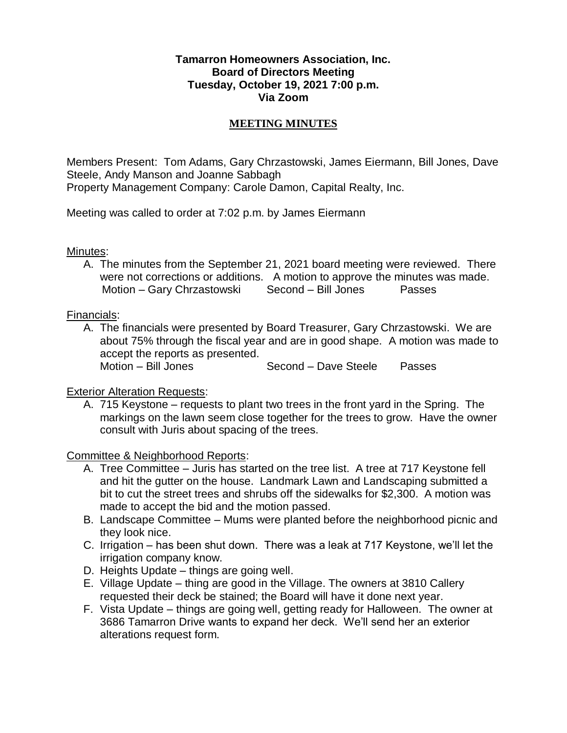### **Tamarron Homeowners Association, Inc. Board of Directors Meeting Tuesday, October 19, 2021 7:00 p.m. Via Zoom**

### **MEETING MINUTES**

Members Present: Tom Adams, Gary Chrzastowski, James Eiermann, Bill Jones, Dave Steele, Andy Manson and Joanne Sabbagh Property Management Company: Carole Damon, Capital Realty, Inc.

Meeting was called to order at 7:02 p.m. by James Eiermann

Minutes:

A. The minutes from the September 21, 2021 board meeting were reviewed. There were not corrections or additions. A motion to approve the minutes was made. Motion – Gary Chrzastowski Second – Bill Jones Passes

Financials:

A. The financials were presented by Board Treasurer, Gary Chrzastowski. We are about 75% through the fiscal year and are in good shape. A motion was made to accept the reports as presented. Motion – Bill Jones Second – Dave Steele Passes

## **Exterior Alteration Requests:**

A. 715 Keystone – requests to plant two trees in the front yard in the Spring. The markings on the lawn seem close together for the trees to grow. Have the owner consult with Juris about spacing of the trees.

Committee & Neighborhood Reports:

- A. Tree Committee Juris has started on the tree list. A tree at 717 Keystone fell and hit the gutter on the house. Landmark Lawn and Landscaping submitted a bit to cut the street trees and shrubs off the sidewalks for \$2,300. A motion was made to accept the bid and the motion passed.
- B. Landscape Committee Mums were planted before the neighborhood picnic and they look nice.
- C. Irrigation has been shut down. There was a leak at 717 Keystone, we'll let the irrigation company know.
- D. Heights Update things are going well.
- E. Village Update thing are good in the Village. The owners at 3810 Callery requested their deck be stained; the Board will have it done next year.
- F. Vista Update things are going well, getting ready for Halloween. The owner at 3686 Tamarron Drive wants to expand her deck. We'll send her an exterior alterations request form.